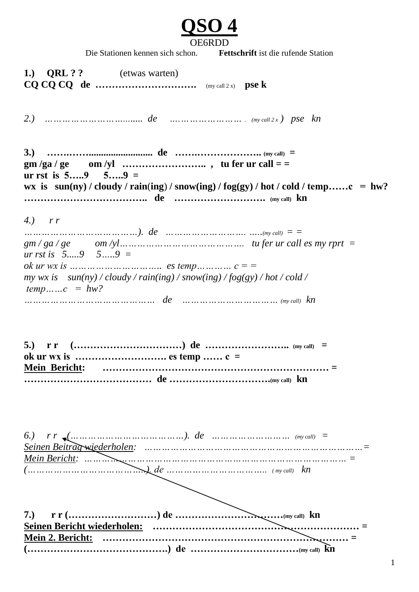

Die Stationen kennen sich schon. **Fettschrift** ist die rufende Station

**1.) QRL ? ?** (etwas warten) **CQ CQ CQ de ………………………….** (my call 2 x) **pse k** *2.) ………………………........ de ….………………… . (my call 2 x ) pse kn* **3.) …….…….......................... de …….……………….. (my call) = gm /ga / ge om /yl …………………….. , tu fer ur call = = ur rst is 5…..9 5…..9 = wx is sun(ny) / cloudy / rain**(**ing**) **/ snow(ing) / fog(gy) / hot / cold / temp……c = hw? ……………………………….. de ………………………. (my call) kn** *4.) r r …………………………………). de ………………………. …..(my call) = = gm / ga / ge om /yl……………………………………. tu fer ur call es my rprt = ur rst is 5.....9 5…..9 = ok ur wx is ………………………….. es temp………… c = = my wx is sun(ny) / cloudy / rain(ing) / snow(ing) / fog(gy) / hot / cold / temp……c = hw? ……………………………………… de …………………………… (my call) kn* **5.) r r (……………………………) de …………………….. (my call) = ok ur wx is ………………………. es temp …… c = Mein Bericht: …………………………………………………………… = ………………………………… de ………………………….(my call) kn** *6.) r r (…………………………………). de ……………………… (my call) = Seinen Beitrag wiederholen: …………………………………………………………………= Mein Bericht: ……………………………………………………………………………… = (…………………………………..). de …………………………….. ( my call) kn* **7.) r r (………………………) de ……………………………(my call) kn Seinen Bericht wiederholen: ……………………………………………………… = Mein 2. Bericht: ………………………………………………………………… = (…………………………………….) de ……………………………(my call) kn**